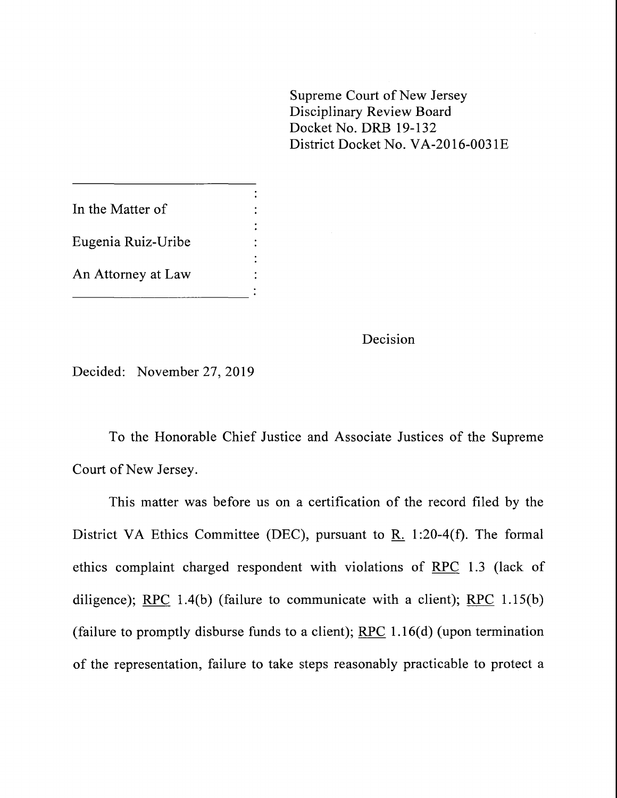Supreme Court of New Jersey Disciplinary Review Board Docket No. DRB 19-132 District Docket No. VA-2016-0031E

In the Matter of **Eugenia Ruiz-Uribe** An Attorney at Law

Decision

Decided: November 27, 2019

To the Honorable Chief Justice and Associate Justices of the Supreme Court of New Jersey.

This matter was before us on a certification of the record filed by the District VA Ethics Committee (DEC), pursuant to  $\underline{R}$ . 1:20-4(f). The formal ethics complaint charged respondent with violations of RPC 1.3 (lack of diligence); RPC 1.4(b) (failure to communicate with a client); RPC 1.15(b) (failure to promptly disburse funds to a client);  $RPC$  1.16(d) (upon termination of the representation, failure to take steps reasonably practicable to protect a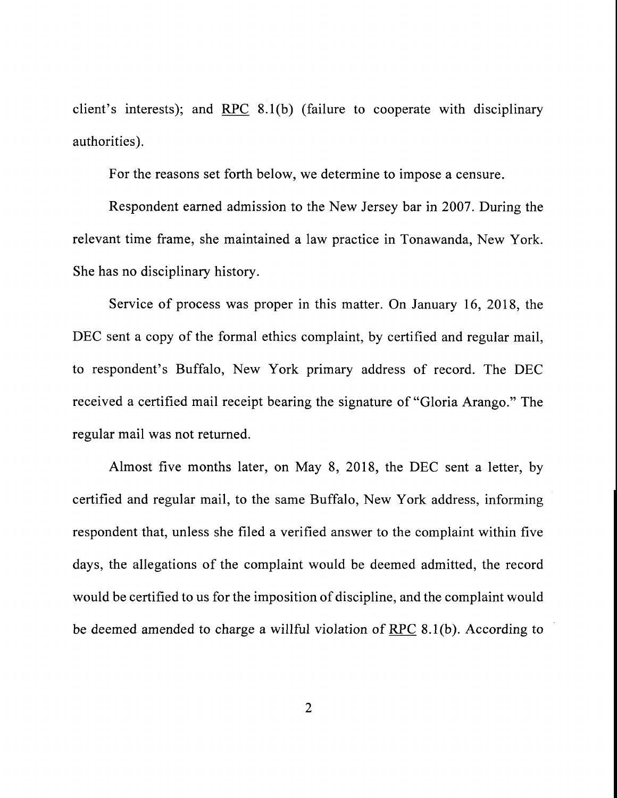client's interests); and RPC 8.1(b) (failure to cooperate with disciplinary authorities).

For the reasons set forth below, we determine to impose a censure.

Respondent earned admission to the New Jersey bar in 2007. During the relevant time frame, she maintained a law practice in Tonawanda, New York. She has no disciplinary history.

Service of process was proper in this matter. On January 16, 2018, the DEC sent a copy of the formal ethics complaint, by certified and regular mail, to respondent's Buffalo, New York primary address of record. The DEC received a certified mail receipt bearing the signature of"Gloria Arango." The regular mail was not returned.

Almost five months later, on May 8, 2018, the DEC sent a letter, by certified and regular mail, to the same Buffalo, New York address, informing respondent that, unless she filed a verified answer to the complaint within five days, the allegations of the complaint would be deemed admitted, the record would be certified to us for the imposition of discipline, and the complaint would be deemed amended to charge a willful violation of RPC 8.1 (b). According to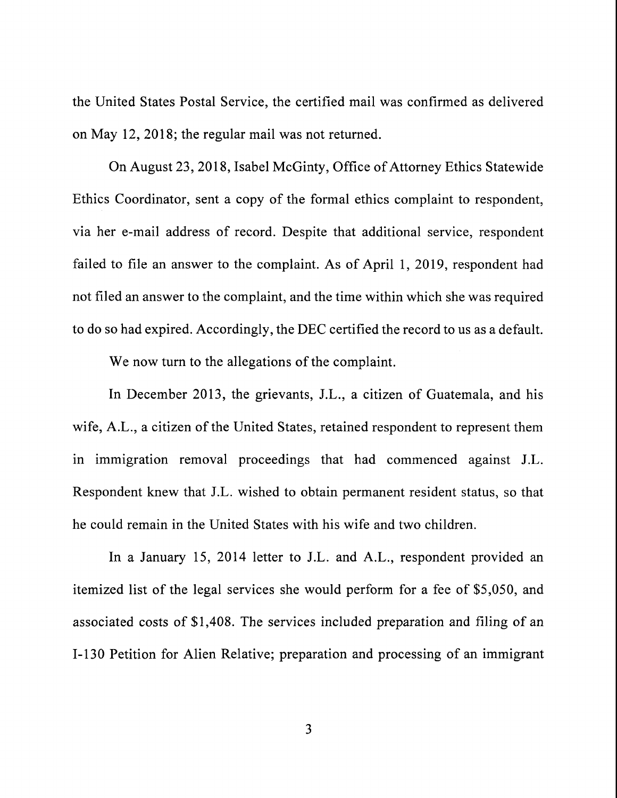the United States Postal Service, the certified mail was confirmed as delivered on May 12, 2018; the regular mail was not returned.

On August 23, 2018, Isabel McGinty, Office of Attorney Ethics Statewide Ethics Coordinator, sent a copy of the formal ethics complaint to respondent, via her e-mail address of record. Despite that additional service, respondent failed to file an answer to the complaint. As of April 1, 2019, respondent had not filed an answer to the complaint, and the time within which she was required to do so had expired. Accordingly, the DEC certified the record to us as a default.

We now turn to the allegations of the complaint.

In December 2013, the grievants, J.L., a citizen of Guatemala, and his wife, A.L., a citizen of the United States, retained respondent to represent them in immigration removal proceedings that had commenced against J.L. Respondent knew that J.L. wished to obtain permanent resident status, so that he could remain in the United States with his wife and two children.

In a January 15, 2014 letter to J.L. and A.L., respondent provided an itemized list of the legal services she would perform for a fee of \$5,050, and associated costs of \$1,408. The services included preparation and filing of an 1-130 Petition for Alien Relative; preparation and processing of an immigrant

3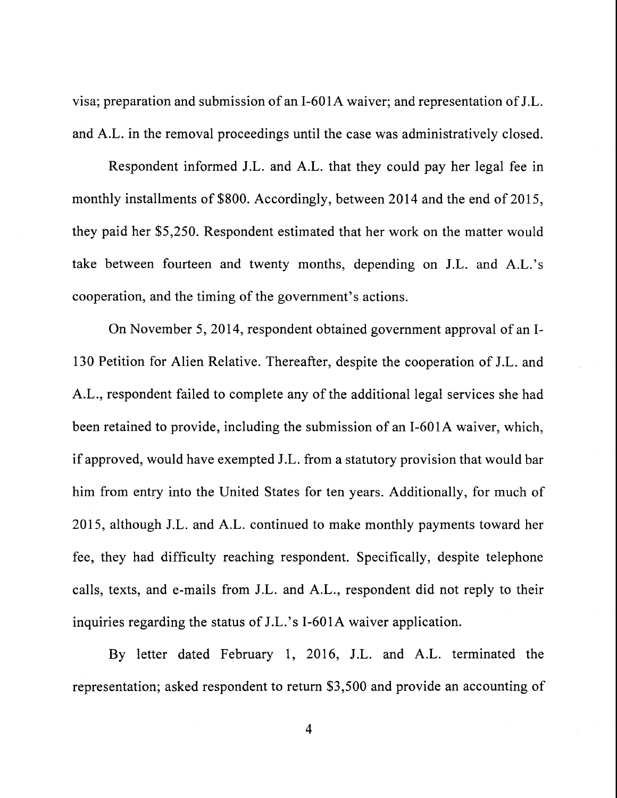visa; preparation and submission of an 1-601A waiver; and representation of J.L. and A.L. in the removal proceedings until the case was administratively closed.

Respondent informed J.L. and A.L. that they could pay her legal fee in monthly installments of \$800. Accordingly, between 2014 and the end of 2015, they paid her \$5,250. Respondent estimated that her work on the matter would take between fourteen and twenty months, depending on J.L. and A.L.'s cooperation, and the timing of the government's actions.

On November 5, 2014, respondent obtained government approval of an 1- 130 Petition for Alien Relative. Thereafter, despite the cooperation of J.L. and A.L., respondent failed to complete any of the additional legal services she had been retained to provide, including the submission of an 1-601A waiver, which, if approved, would have exempted J.L. from a statutory provision that would bar him from entry into the United States for ten years. Additionally, for much of 2015, although J.L. and A.L. continued to make monthly payments toward her fee, they had difficulty reaching respondent. Specifically, despite telephone calls, texts, and e-mails from J.L. and A.L., respondent did not reply to their inquiries regarding the status of J.L.'s I-601A waiver application.

By letter dated February 1, 2016, J.L. and A.L. terminated the representation; asked respondent to return \$3,500 and provide an accounting of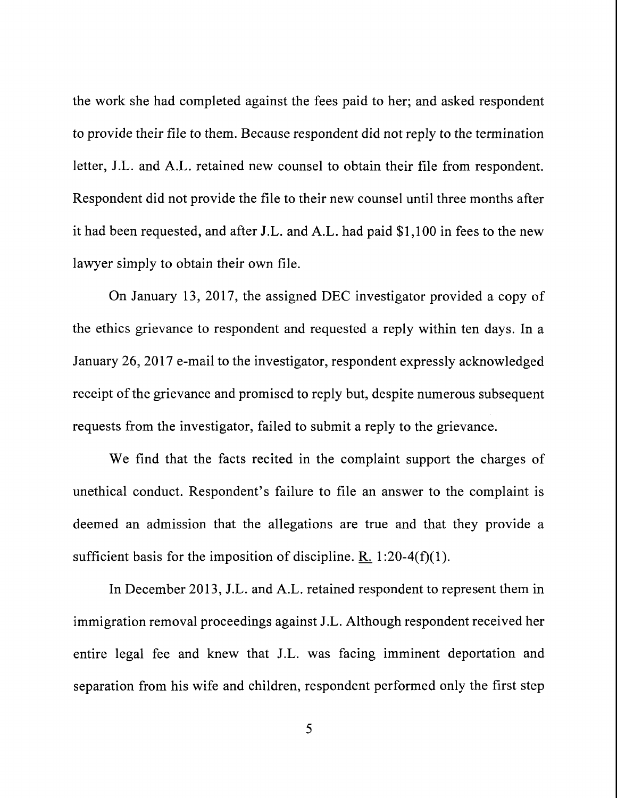the work she had completed against the fees paid to her; and asked respondent to provide their file to them. Because respondent did not reply to the termination letter, J.L. and A.L. retained new counsel to obtain their file from respondent. Respondent did not provide the file to their new counsel until three months after it had been requested, and after J.L. and A.L. had paid \$1,100 in fees to the new lawyer simply to obtain their own file.

On January 13, 2017, the assigned DEC investigator provided a copy of the ethics grievance to respondent and requested a reply within ten days. In a January 26, 2017 e-mail to the investigator, respondent expressly acknowledged receipt of the grievance and promised to reply but, despite numerous subsequent requests from the investigator, failed to submit a reply to the grievance.

We find that the facts recited in the complaint support the charges of unethical conduct. Respondent's failure to file an answer to the complaint is deemed an admission that the allegations are true and that they provide a sufficient basis for the imposition of discipline. R. 1:20-4(f)(1).

In December 2013, J.L. and A.L. retained respondent to represent them in immigration removal proceedings against J.L. Although respondent received her entire legal fee and knew that J.L. was facing imminent deportation and separation from his wife and children, respondent performed only the first step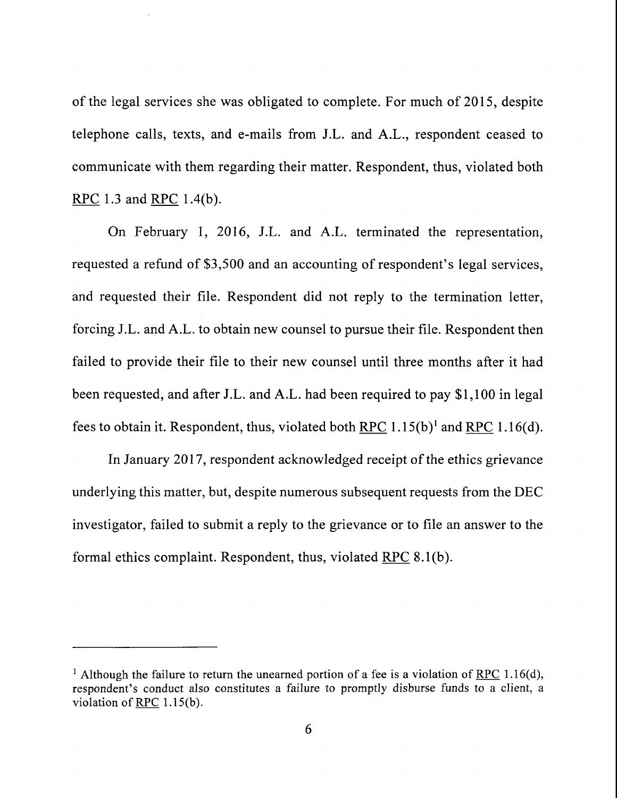of the legal services she was obligated to complete. For much of 2015, despite telephone calls, texts, and e-mails from J.L. and A.L., respondent ceased to communicate with them regarding their matter. Respondent, thus, violated both RPC 1.3 and RPC 1.4(b).

On February 1, 2016, J.L. and A.L. terminated the representation, requested a refund of \$3,500 and an accounting of respondent's legal services, and requested their file. Respondent did not reply to the termination letter, forcing J.L. and A.L. to obtain new counsel to pursue their file. Respondent then failed to provide their file to their new counsel until three months after it had been requested, and after J.L. and A.L. had been required to pay \$1,100 in legal fees to obtain it. Respondent, thus, violated both RPC  $1.15(b)^1$  and RPC  $1.16(d)$ .

In January 2017, respondent acknowledged receipt of the ethics grievance underlying this matter, but, despite numerous subsequent requests from the DEC investigator, failed to submit a reply to the grievance or to file an answer to the formal ethics complaint. Respondent, thus, violated RPC 8.1 (b).

<sup>&</sup>lt;sup>1</sup> Although the failure to return the unearned portion of a fee is a violation of RPC 1.16(d), respondent's conduct also constitutes a failure to promptly disburse funds to a client, a violation of <u>RPC</u> 1.15(b).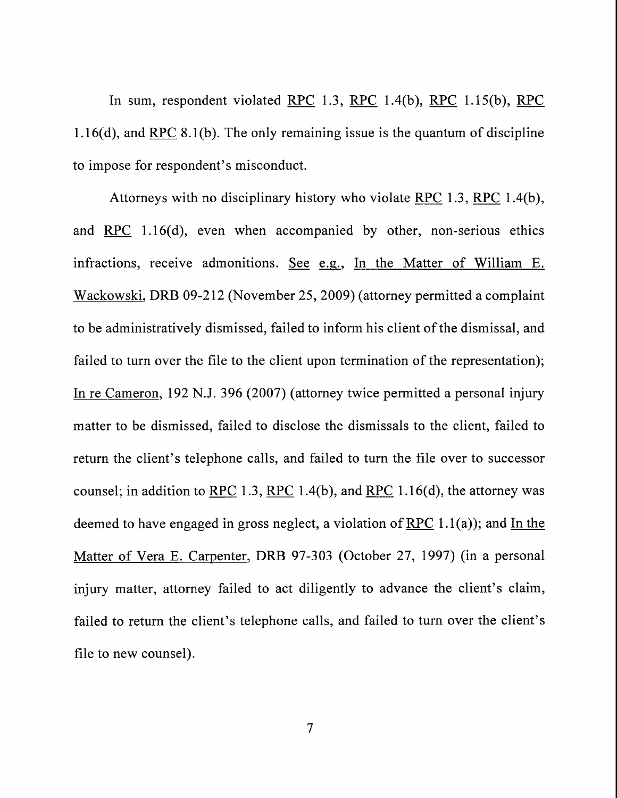In sum, respondent violated RPC 1.3, RPC 1.4(b), RPC 1.15(b), RPC  $1.16(d)$ , and RPC 8.1(b). The only remaining issue is the quantum of discipline to impose for respondent's misconduct.

Attorneys with no disciplinary history who violate RPC 1.3, RPC 1.4(b), and RPC 1.16(d), even when accompanied by other, non-serious ethics infractions, receive admonitions. See e.g., In the Matter of William E. Wackowski, DRB 09-212 (November 25, 2009) (attorney permitted a complaint to be administratively dismissed, failed to inform his client of the dismissal, and failed to turn over the file to the client upon termination of the representation); In re Cameron, 192 N.J. 396 (2007) (attorney twice permitted a personal injury matter to be dismissed, failed to disclose the dismissals to the client, failed to return the client's telephone calls, and failed to turn the file over to successor counsel; in addition to  $RPC$  1.3,  $RPC$  1.4(b), and RPC 1.16(d), the attorney was deemed to have engaged in gross neglect, a violation of RPC  $1.1(a)$ ; and In the Matter of Vera E. Carpenter, DRB 97-303 (October 27, 1997) (in a personal injury matter, attorney failed to act diligently to advance the client's claim, failed to return the client's telephone calls, and failed to turn over the client's file to new counsel).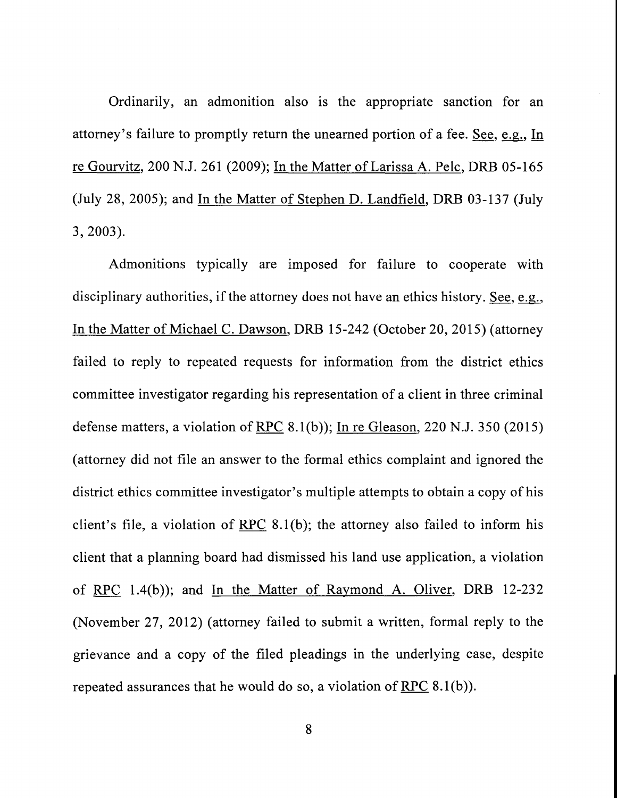Ordinarily, an admonition also is the appropriate sanction for an attorney's failure to promptly return the unearned portion of a fee. See, e.g., In re Gourvitz, 200 N.J. 261 (2009); In the Matter of Larissa A. Pelc, DRB 05-165 (July 28, 2005); and In the Matter of Stephen D. Landfield, DRB 03-137 (July 3, 2003).

Admonitions typically are imposed for failure to cooperate with disciplinary authorities, if the attorney does not have an ethics history. See, e.g., In the Matter of Michael C. Dawson, DRB 15-242 (October 20, 2015) (attorney failed to reply to repeated requests for information from the district ethics committee investigator regarding his representation of a client in three criminal defense matters, a violation of RPC  $8.1(b)$ ; In re Gleason, 220 N.J. 350 (2015) (attorney did not file an answer to the formal ethics complaint and ignored the district ethics committee investigator's multiple attempts to obtain a copy of his client's file, a violation of RPC 8.1(b); the attorney also failed to inform his client that a planning board had dismissed his land use application, a violation of RPC 1.4(b)); and In the Matter of Raymond A. Oliver, DRB 12-232 (November 27, 2012) (attorney failed to submit a written, formal reply to the grievance and a copy of the filed pleadings in the underlying case, despite repeated assurances that he would do so, a violation of RPC  $8.1(b)$ ).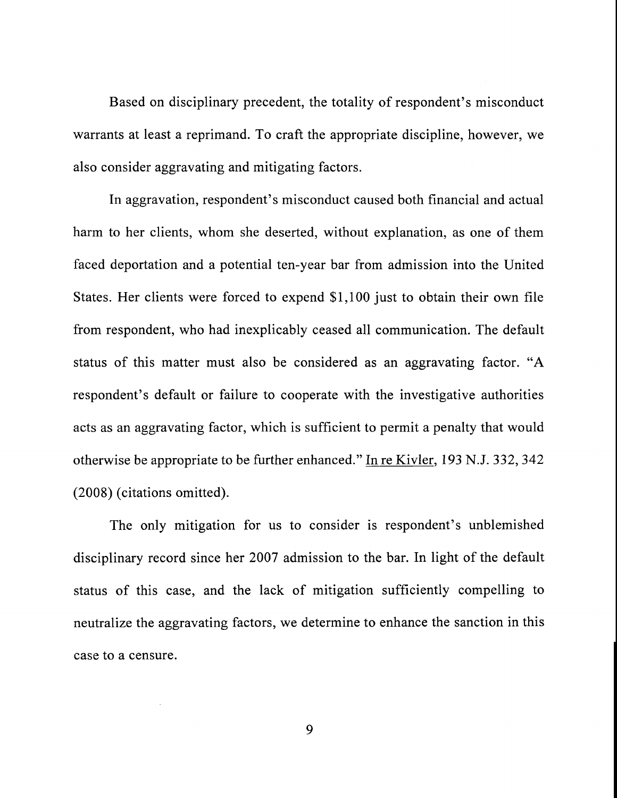Based on disciplinary precedent, the totality of respondent's misconduct warrants at least a reprimand. To craft the appropriate discipline, however, we also consider aggravating and mitigating factors.

In aggravation, respondent's misconduct caused both financial and actual harm to her clients, whom she deserted, without explanation, as one of them faced deportation and a potential ten-year bar from admission into the United States. Her clients were forced to expend \$1,100 just to obtain their own file from respondent, who had inexplicably ceased all communication. The default status of this matter must also be considered as an aggravating factor. "A respondent's default or failure to cooperate with the investigative authorities acts as an aggravating factor, which is sufficient to permit a penalty that would otherwise be appropriate to be further enhanced." In re Kivler, 193 N.J. 332, 342 (2008) (citations omitted).

The only mitigation for us to consider is respondent's unblemished disciplinary record since her 2007 admission to the bar. In light of the default status of this case, and the lack of mitigation sufficiently compelling to neutralize the aggravating factors, we determine to enhance the sanction in this case to a censure.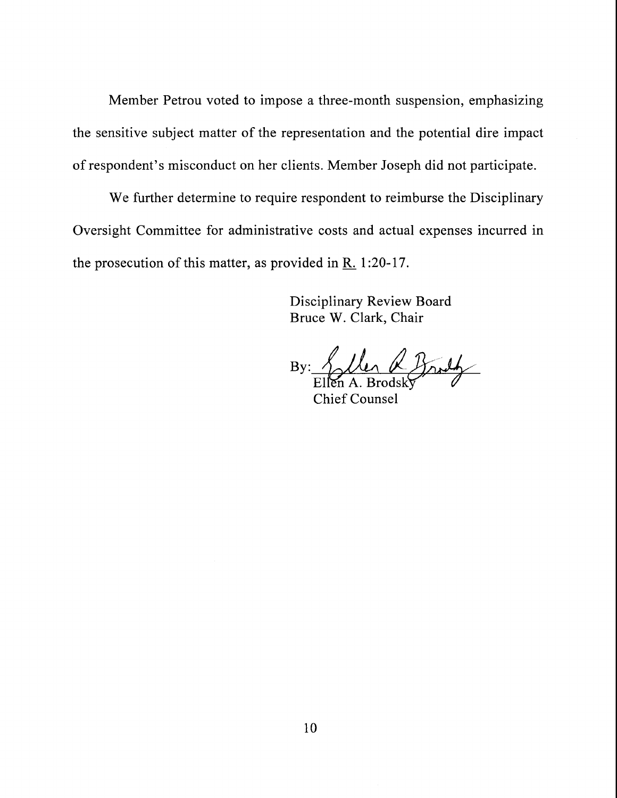Member Petrou voted to impose a three-month suspension, emphasizing the sensitive subject matter of the representation and the potential dire impact of respondent's misconduct on her clients. Member Joseph did not participate.

We further determine to require respondent to reimburse the Disciplinary Oversight Committee for administrative costs and actual expenses incurred in the prosecution of this matter, as provided in  $R_1$ . 1:20-17.

> **Disciplinary Review Board** Bruce W. Clark, Chair

Llen & Broth By:  $\Delta$ 

Chief Counsel